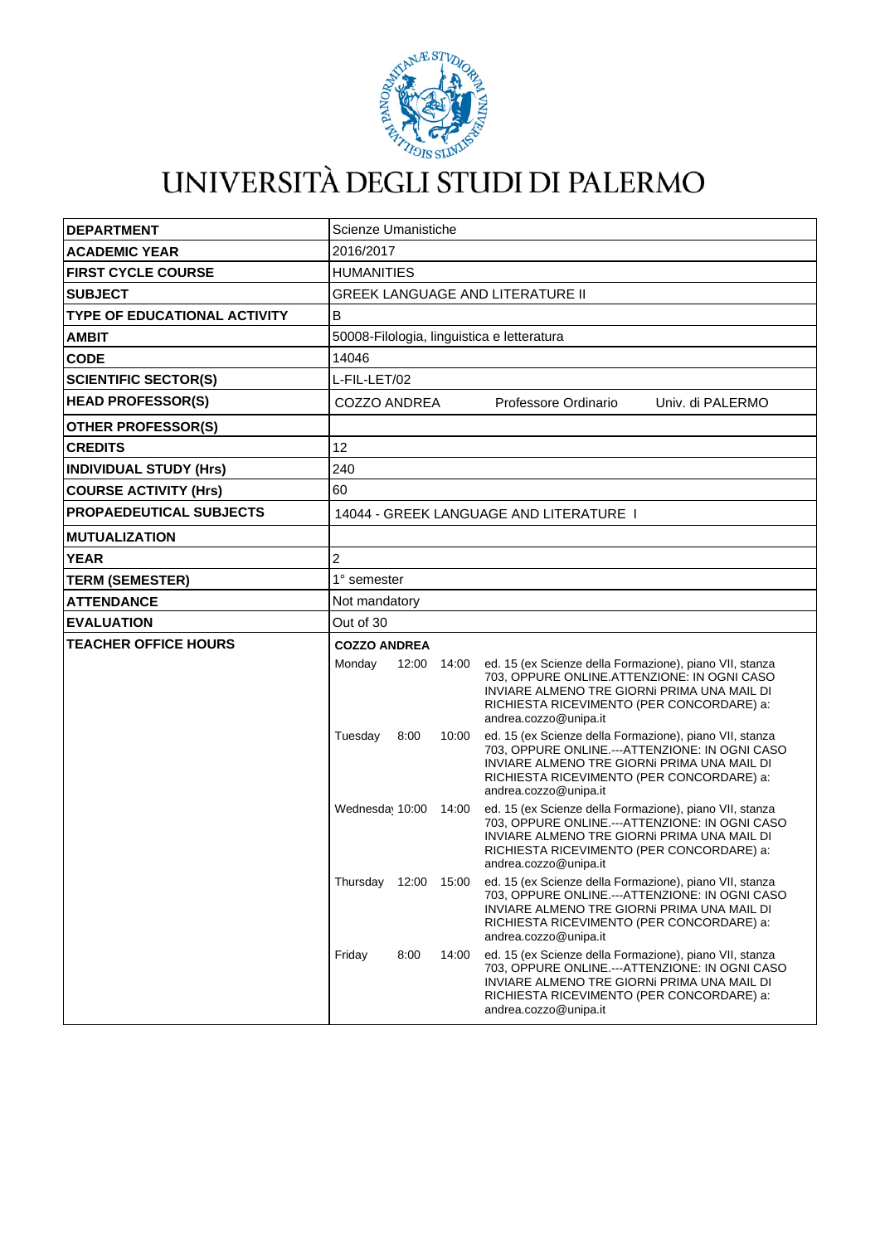

## UNIVERSITÀ DEGLI STUDI DI PALERMO

| <b>DEPARTMENT</b>                   | Scienze Umanistiche                        |      |             |                                                                                                                                                                                                                                                     |  |  |
|-------------------------------------|--------------------------------------------|------|-------------|-----------------------------------------------------------------------------------------------------------------------------------------------------------------------------------------------------------------------------------------------------|--|--|
| <b>ACADEMIC YEAR</b>                | 2016/2017                                  |      |             |                                                                                                                                                                                                                                                     |  |  |
| <b>FIRST CYCLE COURSE</b>           | <b>HUMANITIES</b>                          |      |             |                                                                                                                                                                                                                                                     |  |  |
| <b>SUBJECT</b>                      | <b>GREEK LANGUAGE AND LITERATURE II</b>    |      |             |                                                                                                                                                                                                                                                     |  |  |
| <b>TYPE OF EDUCATIONAL ACTIVITY</b> | B                                          |      |             |                                                                                                                                                                                                                                                     |  |  |
| <b>AMBIT</b>                        | 50008-Filologia, linguistica e letteratura |      |             |                                                                                                                                                                                                                                                     |  |  |
| <b>CODE</b>                         | 14046                                      |      |             |                                                                                                                                                                                                                                                     |  |  |
| <b>SCIENTIFIC SECTOR(S)</b>         | L-FIL-LET/02                               |      |             |                                                                                                                                                                                                                                                     |  |  |
| <b>HEAD PROFESSOR(S)</b>            | COZZO ANDREA                               |      |             | Professore Ordinario<br>Univ. di PALERMO                                                                                                                                                                                                            |  |  |
| <b>OTHER PROFESSOR(S)</b>           |                                            |      |             |                                                                                                                                                                                                                                                     |  |  |
| <b>CREDITS</b>                      | 12                                         |      |             |                                                                                                                                                                                                                                                     |  |  |
| <b>INDIVIDUAL STUDY (Hrs)</b>       | 240                                        |      |             |                                                                                                                                                                                                                                                     |  |  |
| <b>COURSE ACTIVITY (Hrs)</b>        | 60                                         |      |             |                                                                                                                                                                                                                                                     |  |  |
| <b>PROPAEDEUTICAL SUBJECTS</b>      | 14044 - GREEK LANGUAGE AND LITERATURE I    |      |             |                                                                                                                                                                                                                                                     |  |  |
| <b>MUTUALIZATION</b>                |                                            |      |             |                                                                                                                                                                                                                                                     |  |  |
| <b>YEAR</b>                         | 2                                          |      |             |                                                                                                                                                                                                                                                     |  |  |
| <b>TERM (SEMESTER)</b>              | 1° semester                                |      |             |                                                                                                                                                                                                                                                     |  |  |
| <b>ATTENDANCE</b>                   | Not mandatory                              |      |             |                                                                                                                                                                                                                                                     |  |  |
| <b>EVALUATION</b>                   | Out of 30                                  |      |             |                                                                                                                                                                                                                                                     |  |  |
| <b>TEACHER OFFICE HOURS</b>         | <b>COZZO ANDREA</b>                        |      |             |                                                                                                                                                                                                                                                     |  |  |
|                                     | Monday                                     |      | 12:00 14:00 | ed. 15 (ex Scienze della Formazione), piano VII, stanza<br>703, OPPURE ONLINE.ATTENZIONE: IN OGNI CASO<br>INVIARE ALMENO TRE GIORNI PRIMA UNA MAIL DI<br>RICHIESTA RICEVIMENTO (PER CONCORDARE) a:<br>andrea.cozzo@unipa.it                         |  |  |
|                                     | Tuesday                                    | 8:00 | 10:00       | ed. 15 (ex Scienze della Formazione), piano VII, stanza<br>703, OPPURE ONLINE.---ATTENZIONE: IN OGNI CASO<br>INVIARE ALMENO TRE GIORNI PRIMA UNA MAIL DI<br>RICHIESTA RICEVIMENTO (PER CONCORDARE) a:<br>andrea.cozzo@unipa.it                      |  |  |
|                                     | Wednesday 10:00                            |      | 14:00       | ed. 15 (ex Scienze della Formazione), piano VII, stanza<br>703, OPPURE ONLINE.---ATTENZIONE: IN OGNI CASO<br>INVIARE ALMENO TRE GIORNI PRIMA UNA MAIL DI<br>RICHIESTA RICEVIMENTO (PER CONCORDARE) a:<br>andrea.cozzo@unipa.it                      |  |  |
|                                     |                                            |      |             | Thursday 12:00 15:00 ed. 15 (ex Scienze della Formazione), piano VII, stanza<br>703, OPPURE ONLINE.---ATTENZIONE: IN OGNI CASO<br>INVIARE ALMENO TRE GIORNI PRIMA UNA MAIL DI<br>RICHIESTA RICEVIMENTO (PER CONCORDARE) a:<br>andrea.cozzo@unipa.it |  |  |
|                                     | Friday                                     | 8:00 | 14:00       | ed. 15 (ex Scienze della Formazione), piano VII, stanza<br>703, OPPURE ONLINE.---ATTENZIONE: IN OGNI CASO<br>INVIARE ALMENO TRE GIORNI PRIMA UNA MAIL DI<br>RICHIESTA RICEVIMENTO (PER CONCORDARE) a:<br>andrea.cozzo@unipa.it                      |  |  |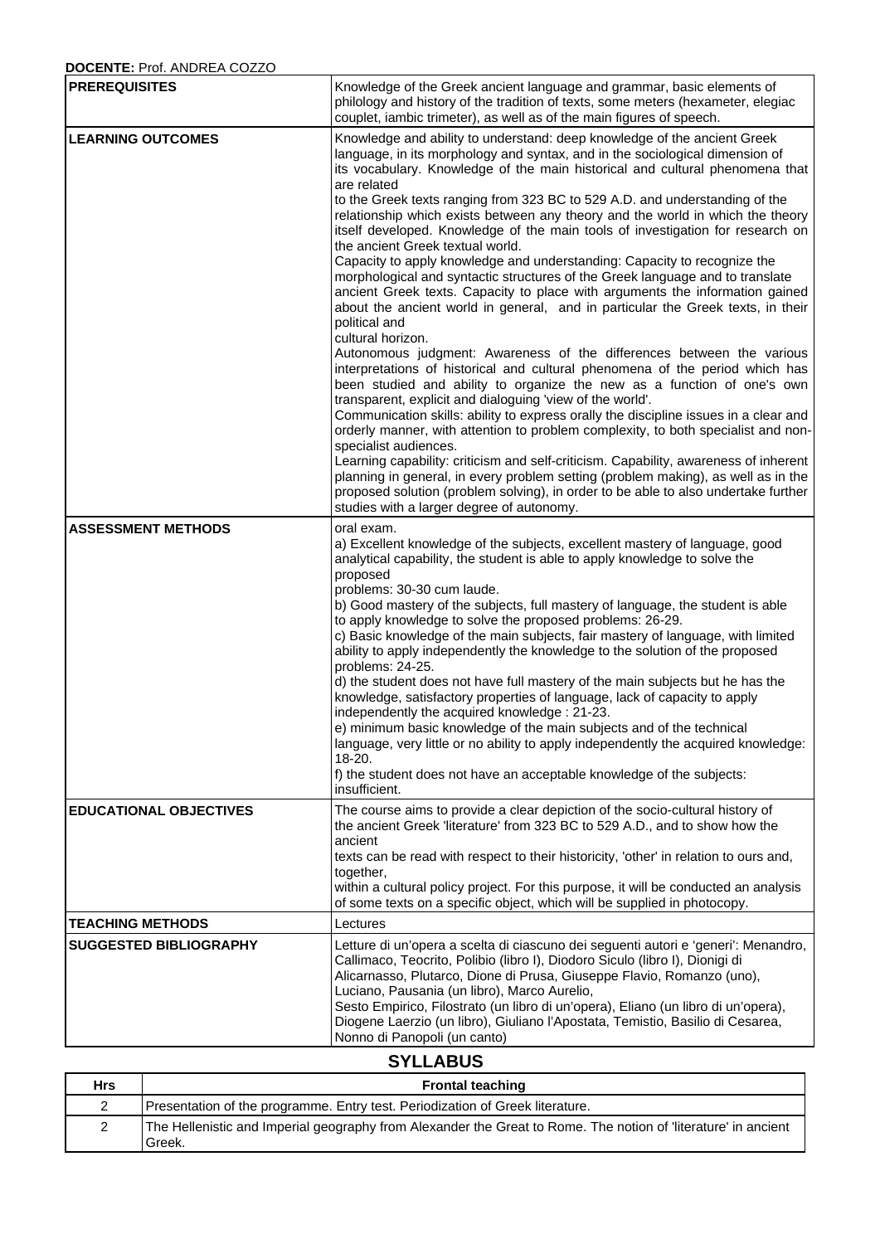## **DOCENTE:** Prof. ANDREA COZZO

 $\mathbf{r}$ 

| <b>PREREQUISITES</b>          | Knowledge of the Greek ancient language and grammar, basic elements of<br>philology and history of the tradition of texts, some meters (hexameter, elegiac<br>couplet, iambic trimeter), as well as of the main figures of speech.                                                                                                                                                                                                                                                                                                                                                                                                                                                                                                                                                                                                                                                                                                                                                                                                                                                                                                                                                                                                                                                                                                                                                                                                                                                                                                                                                                                                                                                                                                          |  |  |
|-------------------------------|---------------------------------------------------------------------------------------------------------------------------------------------------------------------------------------------------------------------------------------------------------------------------------------------------------------------------------------------------------------------------------------------------------------------------------------------------------------------------------------------------------------------------------------------------------------------------------------------------------------------------------------------------------------------------------------------------------------------------------------------------------------------------------------------------------------------------------------------------------------------------------------------------------------------------------------------------------------------------------------------------------------------------------------------------------------------------------------------------------------------------------------------------------------------------------------------------------------------------------------------------------------------------------------------------------------------------------------------------------------------------------------------------------------------------------------------------------------------------------------------------------------------------------------------------------------------------------------------------------------------------------------------------------------------------------------------------------------------------------------------|--|--|
| <b>LEARNING OUTCOMES</b>      | Knowledge and ability to understand: deep knowledge of the ancient Greek<br>language, in its morphology and syntax, and in the sociological dimension of<br>its vocabulary. Knowledge of the main historical and cultural phenomena that<br>are related<br>to the Greek texts ranging from 323 BC to 529 A.D. and understanding of the<br>relationship which exists between any theory and the world in which the theory<br>itself developed. Knowledge of the main tools of investigation for research on<br>the ancient Greek textual world.<br>Capacity to apply knowledge and understanding: Capacity to recognize the<br>morphological and syntactic structures of the Greek language and to translate<br>ancient Greek texts. Capacity to place with arguments the information gained<br>about the ancient world in general, and in particular the Greek texts, in their<br>political and<br>cultural horizon.<br>Autonomous judgment: Awareness of the differences between the various<br>interpretations of historical and cultural phenomena of the period which has<br>been studied and ability to organize the new as a function of one's own<br>transparent, explicit and dialoguing 'view of the world'.<br>Communication skills: ability to express orally the discipline issues in a clear and<br>orderly manner, with attention to problem complexity, to both specialist and non-<br>specialist audiences.<br>Learning capability: criticism and self-criticism. Capability, awareness of inherent<br>planning in general, in every problem setting (problem making), as well as in the<br>proposed solution (problem solving), in order to be able to also undertake further<br>studies with a larger degree of autonomy. |  |  |
| <b>ASSESSMENT METHODS</b>     | oral exam.<br>a) Excellent knowledge of the subjects, excellent mastery of language, good<br>analytical capability, the student is able to apply knowledge to solve the<br>proposed<br>problems: 30-30 cum laude.<br>b) Good mastery of the subjects, full mastery of language, the student is able<br>to apply knowledge to solve the proposed problems: 26-29.<br>c) Basic knowledge of the main subjects, fair mastery of language, with limited<br>ability to apply independently the knowledge to the solution of the proposed<br>problems: 24-25.<br>d) the student does not have full mastery of the main subjects but he has the<br>knowledge, satisfactory properties of language, lack of capacity to apply<br>independently the acquired knowledge: 21-23.<br>e) minimum basic knowledge of the main subjects and of the technical<br>language, very little or no ability to apply independently the acquired knowledge:<br>18-20.<br>f) the student does not have an acceptable knowledge of the subjects:<br>insufficient.                                                                                                                                                                                                                                                                                                                                                                                                                                                                                                                                                                                                                                                                                                     |  |  |
| <b>EDUCATIONAL OBJECTIVES</b> | The course aims to provide a clear depiction of the socio-cultural history of<br>the ancient Greek 'literature' from 323 BC to 529 A.D., and to show how the<br>ancient<br>texts can be read with respect to their historicity, 'other' in relation to ours and,<br>together,<br>within a cultural policy project. For this purpose, it will be conducted an analysis<br>of some texts on a specific object, which will be supplied in photocopy.                                                                                                                                                                                                                                                                                                                                                                                                                                                                                                                                                                                                                                                                                                                                                                                                                                                                                                                                                                                                                                                                                                                                                                                                                                                                                           |  |  |
| <b>TEACHING METHODS</b>       | Lectures                                                                                                                                                                                                                                                                                                                                                                                                                                                                                                                                                                                                                                                                                                                                                                                                                                                                                                                                                                                                                                                                                                                                                                                                                                                                                                                                                                                                                                                                                                                                                                                                                                                                                                                                    |  |  |
| <b>SUGGESTED BIBLIOGRAPHY</b> | Letture di un'opera a scelta di ciascuno dei seguenti autori e 'generi': Menandro,<br>Callimaco, Teocrito, Polibio (libro I), Diodoro Siculo (libro I), Dionigi di<br>Alicarnasso, Plutarco, Dione di Prusa, Giuseppe Flavio, Romanzo (uno),<br>Luciano, Pausania (un libro), Marco Aurelio,<br>Sesto Empirico, Filostrato (un libro di un'opera), Eliano (un libro di un'opera),<br>Diogene Laerzio (un libro), Giuliano l'Apostata, Temistio, Basilio di Cesarea,<br>Nonno di Panopoli (un canto)<br>$\sim$                                                                                                                                                                                                                                                                                                                                                                                                                                                                                                                                                                                                                                                                                                                                                                                                                                                                                                                                                                                                                                                                                                                                                                                                                               |  |  |

## **SYLLABUS**

 $\mathcal{L}^{\text{max}}_{\text{max}}$ 

┑

| <b>Hrs</b> | <b>Frontal teaching</b>                                                                                                   |
|------------|---------------------------------------------------------------------------------------------------------------------------|
|            | Presentation of the programme. Entry test. Periodization of Greek literature.                                             |
|            | The Hellenistic and Imperial geography from Alexander the Great to Rome. The notion of 'literature' in ancient<br>'Greek. |